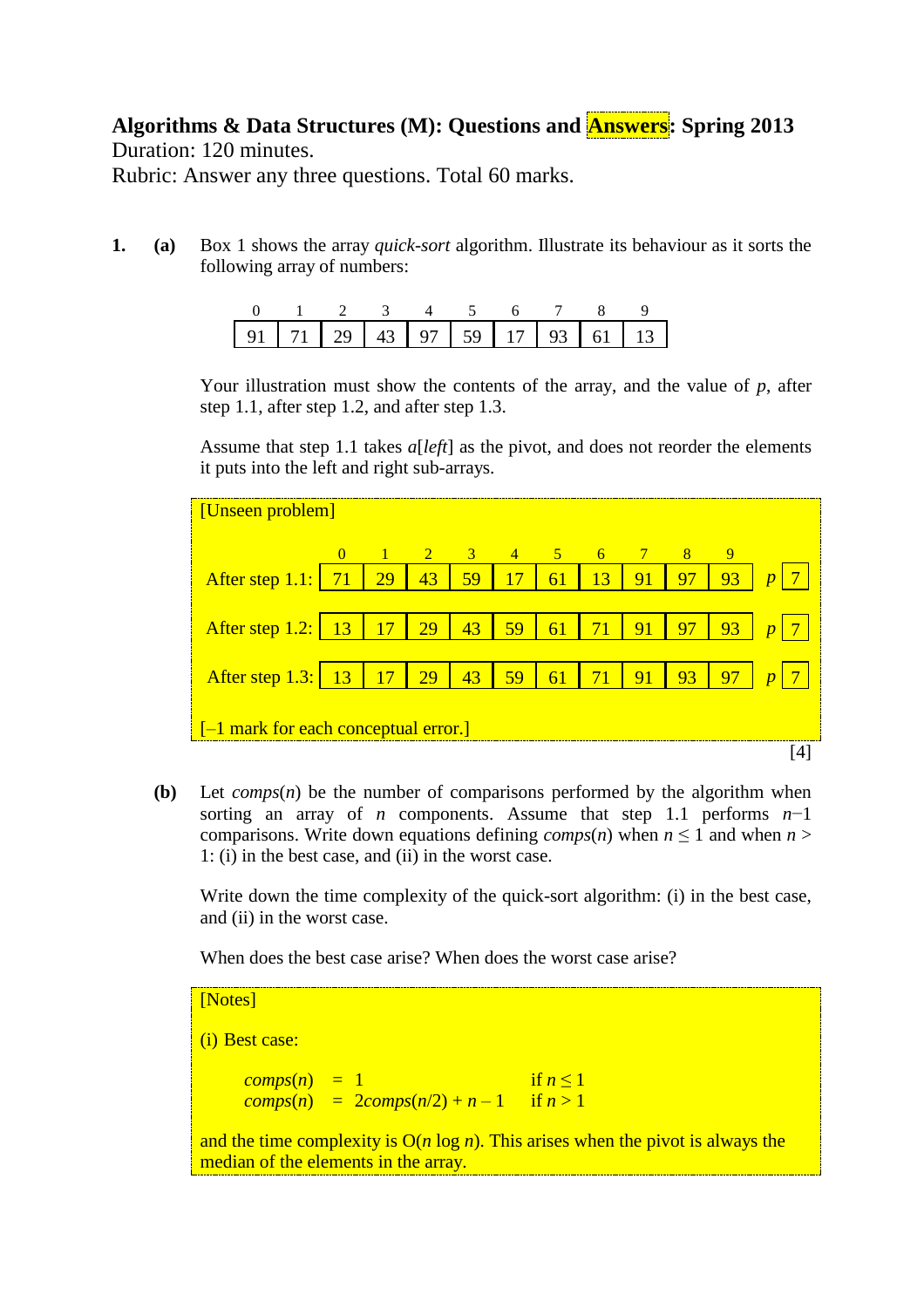**Algorithms & Data Structures (M): Questions and Answers: Spring 2013** Duration: 120 minutes.

Rubric: Answer any three questions. Total 60 marks.

**1. (a)** Box 1 shows the array *quick-sort* algorithm. Illustrate its behaviour as it sorts the following array of numbers:

| 0 1 2 3 4 5 6 7 8 9 |  |  |  |  |  |
|---------------------|--|--|--|--|--|
|                     |  |  |  |  |  |

Your illustration must show the contents of the array, and the value of *p*, after step 1.1, after step 1.2, and after step 1.3.

Assume that step 1.1 takes *a*[*left*] as the pivot, and does not reorder the elements it puts into the left and right sub-arrays.

| [Unseen problem]                                  |  |                 |                                                             |               |    |            |    |    |      |    |                  |
|---------------------------------------------------|--|-----------------|-------------------------------------------------------------|---------------|----|------------|----|----|------|----|------------------|
|                                                   |  | $\sqrt{1}$ 2    |                                                             | $\frac{3}{4}$ |    | $\sim$ 5 6 |    |    | $-8$ | 9  |                  |
| After step $1.1:$   71                            |  | 29              | 43                                                          | 59            | 17 | 61         | 13 | 91 | 97   | 93 |                  |
|                                                   |  |                 |                                                             |               |    |            |    |    |      |    |                  |
| After step 1.2:   13                              |  | $\overline{17}$ | <sup>29</sup>                                               | 43            | 59 | 61         | 71 | 91 | 97   | 93 | $\boldsymbol{n}$ |
|                                                   |  |                 |                                                             |               |    |            |    |    |      |    |                  |
| After step 1.3:   13   17                         |  |                 | $\begin{array}{ c c c c c } \hline 29 & \hline \end{array}$ | 43            | 59 | 61         | 71 | 91 | 93   | 97 |                  |
|                                                   |  |                 |                                                             |               |    |            |    |    |      |    |                  |
| $\left[-1\right]$ mark for each conceptual error. |  |                 |                                                             |               |    |            |    |    |      |    |                  |
|                                                   |  |                 |                                                             |               |    |            |    |    |      |    |                  |

**(b)** Let *comps*(*n*) be the number of comparisons performed by the algorithm when sorting an array of *n* components. Assume that step 1.1 performs *n*−1 comparisons. Write down equations defining *comps*(*n*) when  $n \leq 1$  and when  $n >$ 1: (i) in the best case, and (ii) in the worst case.

Write down the time complexity of the quick-sort algorithm: (i) in the best case, and (ii) in the worst case.

When does the best case arise? When does the worst case arise?

[Notes] (i) Best case:  $comps(n) = 1$  if  $n \le 1$  $\frac{1}{2} \text{comps}(n) = 2 \text{comps}(n/2) + n - 1 \quad \text{if } n > 1$ and the time complexity is  $O(n \log n)$ . This arises when the pivot is always the median of the elements in the array.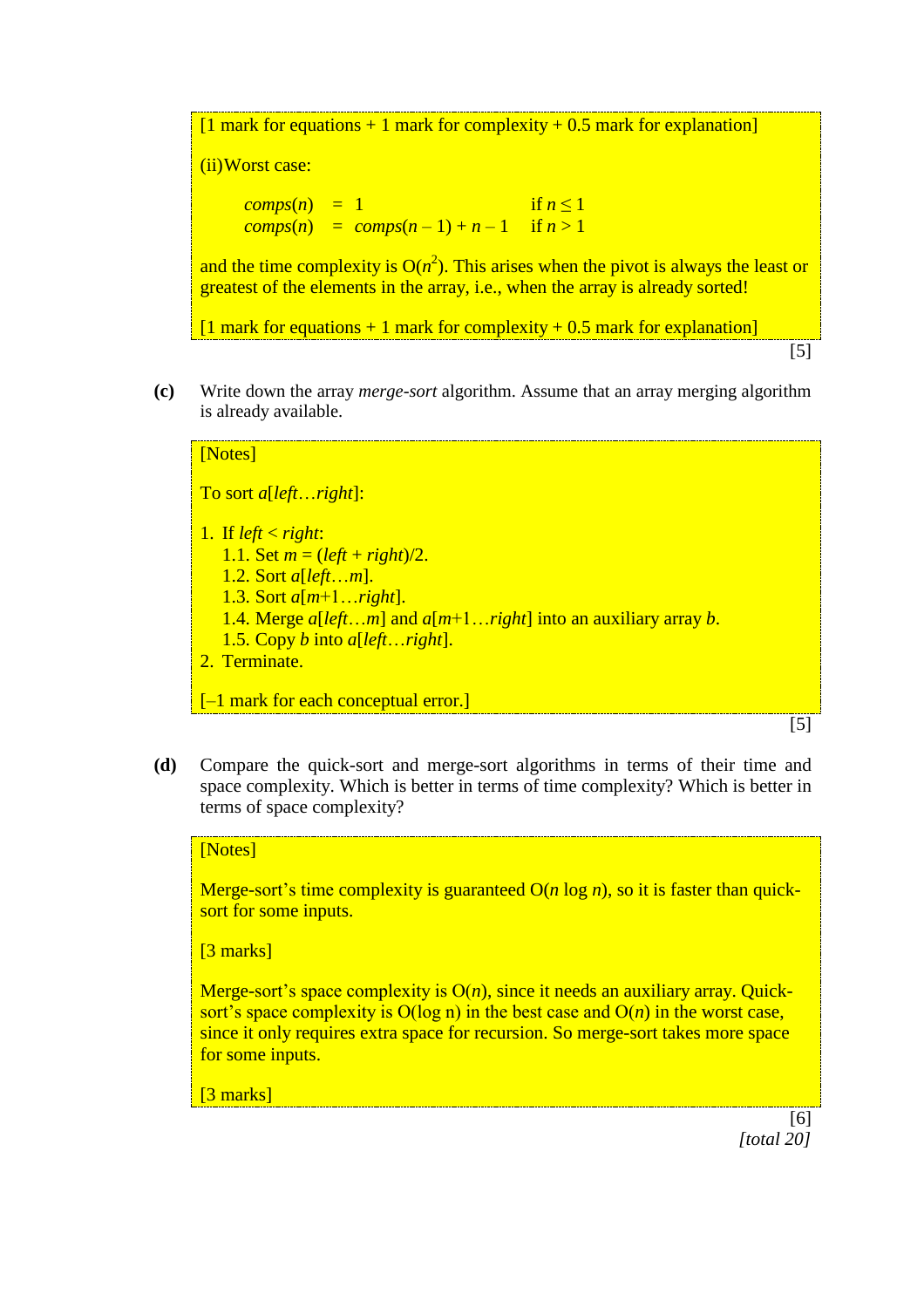$[1$  mark for equations + 1 mark for complexity + 0.5 mark for explanation]

(ii)Worst case:

 $comps(n) = 1$  if  $n \leq 1$  $comps(n) = comps(n-1) + n-1$  if  $n > 1$ 

and the time complexity is  $O(n^2)$ . This arises when the pivot is always the least or greatest of the elements in the array, i.e., when the array is already sorted!

 $[1$  mark for equations + 1 mark for complexity + 0.5 mark for explanation]

- [5]
- **(c)** Write down the array *merge-sort* algorithm. Assume that an array merging algorithm is already available.

## [Notes]

To sort *a*[*left*…*right*]:

- 1. If  $left < right;$ 
	- 1.1. Set  $m = (left + right)/2$ .
	- 1.2. Sort *a*[*left*…*m*].
	- 1.3. Sort *a*[*m*+1…*right*].
	- 1.4. Merge *a*[*left*…*m*] and *a*[*m*+1…*right*] into an auxiliary array *b*.
	- 1.5. Copy *b* into *a*[*left*…*right*].
- 2. Terminate.

[-1 mark for each conceptual error.]

[5]

**(d)** Compare the quick-sort and merge-sort algorithms in terms of their time and space complexity. Which is better in terms of time complexity? Which is better in terms of space complexity?

#### [Notes]

Merge-sort's time complexity is guaranteed O(*n* log *n*), so it is faster than quicksort for some inputs.

[3 marks]

Merge-sort's space complexity is  $O(n)$ , since it needs an auxiliary array. Quicksort's space complexity is  $O(\log n)$  in the best case and  $O(n)$  in the worst case, since it only requires extra space for recursion. So merge-sort takes more space for some inputs.

[3 marks]

[6] *[total 20]*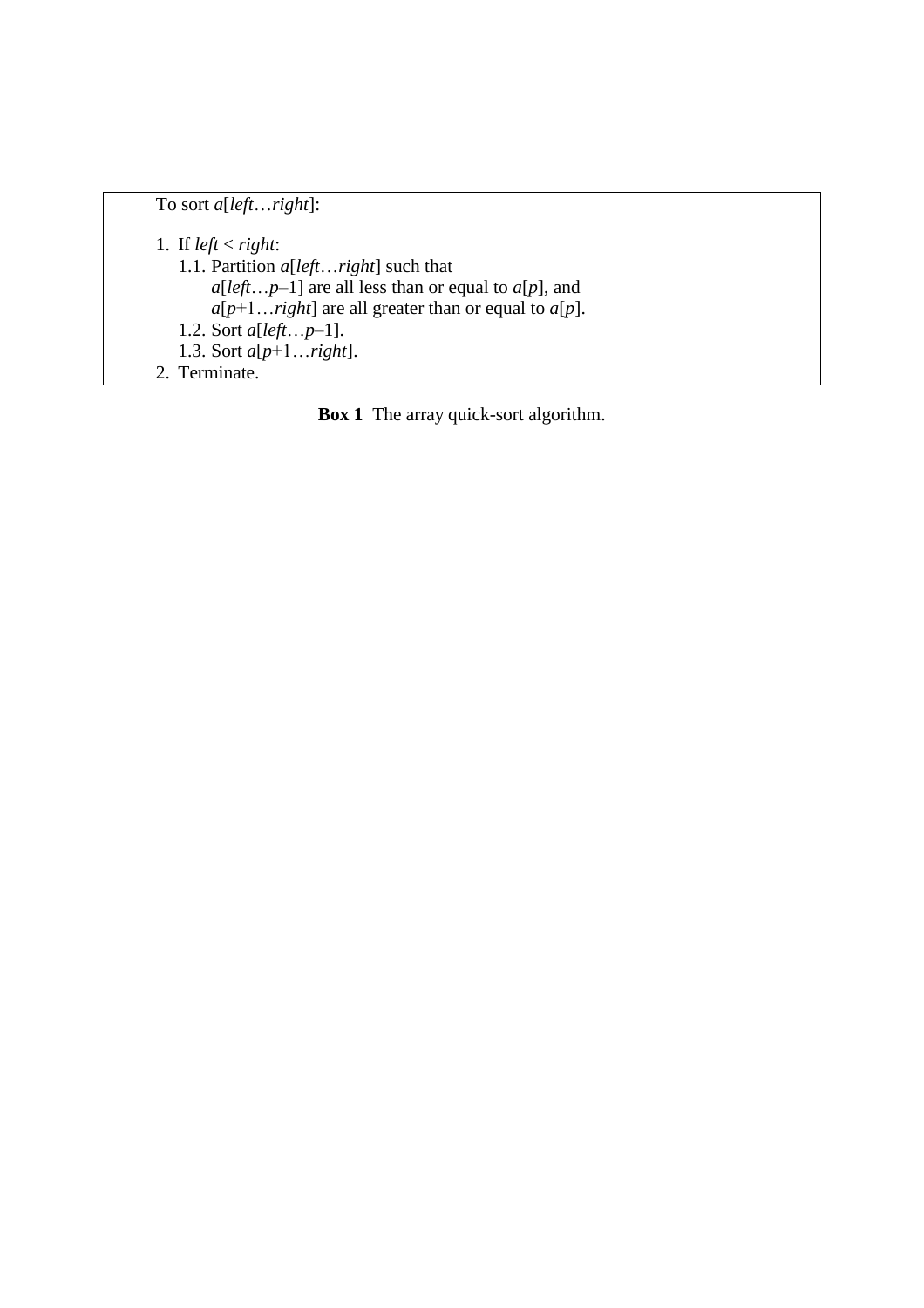To sort *a*[*left*…*right*]:

1. If  $left < right;$ 1.1. Partition *a*[*left*…*right*] such that  $a[left...p-1]$  are all less than or equal to  $a[p]$ , and  $a[p+1...right]$  are all greater than or equal to  $a[p]$ . 1.2. Sort *a*[*left*…*p*–1]. 1.3. Sort *a*[*p*+1…*right*]. 2. Terminate.

**Box 1** The array quick-sort algorithm.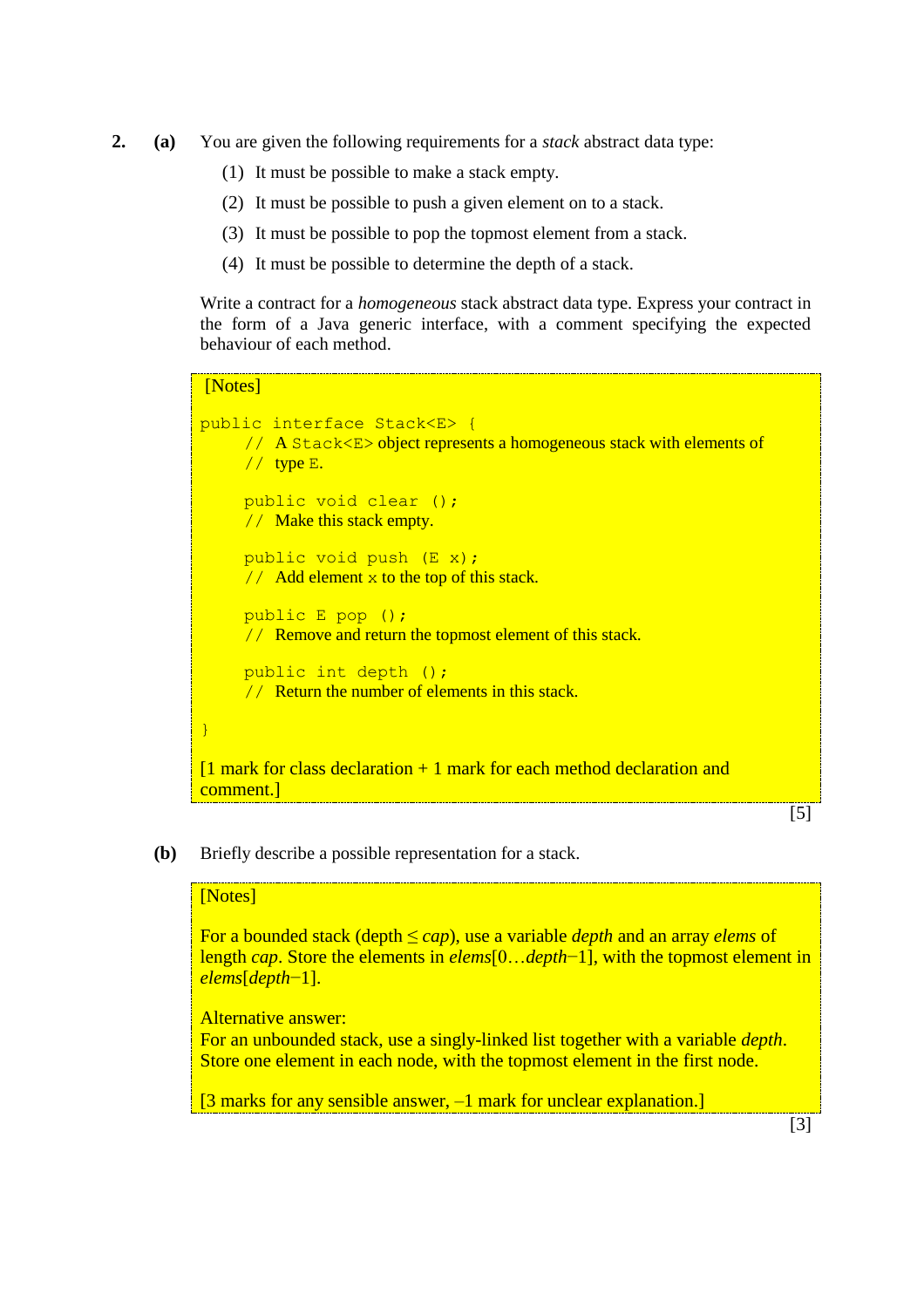- **2. (a)** You are given the following requirements for a *stack* abstract data type:
	- (1) It must be possible to make a stack empty.
	- (2) It must be possible to push a given element on to a stack.
	- (3) It must be possible to pop the topmost element from a stack.
	- (4) It must be possible to determine the depth of a stack.

Write a contract for a *homogeneous* stack abstract data type. Express your contract in the form of a Java generic interface, with a comment specifying the expected behaviour of each method.

# [Notes] public interface Stack<E> { // A Stack<E> object represents a homogeneous stack with elements of  $//$  type  $E.$ public void clear (); // Make this stack empty. public void push (E x); // Add element  $x$  to the top of this stack. public E pop (); // Remove and return the topmost element of this stack. public int depth (); // Return the number of elements in this stack. }  $[1$  mark for class declaration  $+1$  mark for each method declaration and comment.]

### [5]

**(b)** Briefly describe a possible representation for a stack.

### [Notes]

For a bounded stack (depth ≤ *cap*), use a variable *depth* and an array *elems* of length *cap*. Store the elements in *elems*[0…*depth*−1], with the topmost element in *elems*[*depth*−1].

Alternative answer:

For an unbounded stack, use a singly-linked list together with a variable *depth*. Store one element in each node, with the topmost element in the first node.

[3 marks for any sensible answer, -1 mark for unclear explanation.]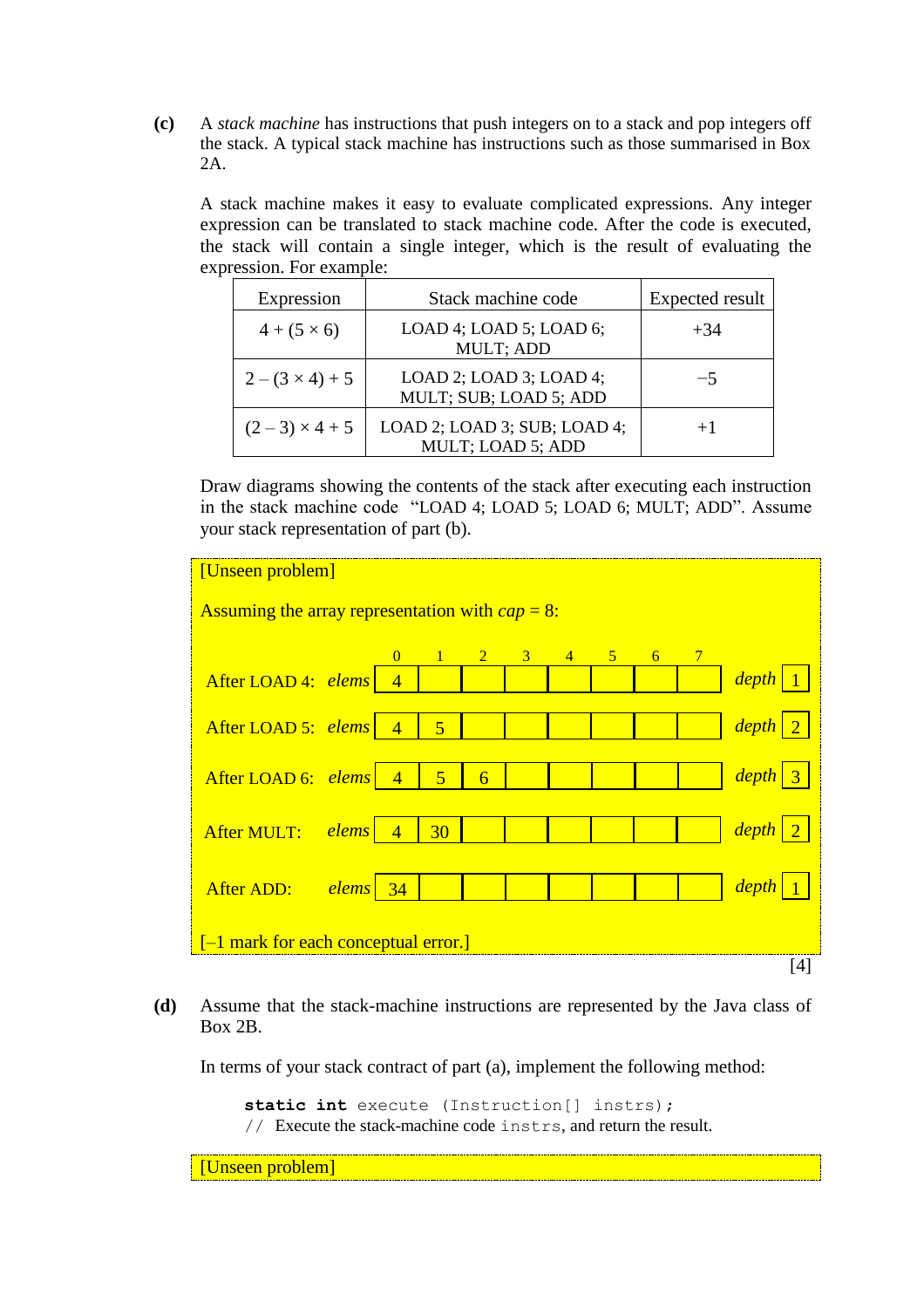**(c)** A *stack machine* has instructions that push integers on to a stack and pop integers off the stack. A typical stack machine has instructions such as those summarised in Box 2A.

A stack machine makes it easy to evaluate complicated expressions. Any integer expression can be translated to stack machine code. After the code is executed, the stack will contain a single integer, which is the result of evaluating the expression. For example:

| Expression           | Stack machine code                                      | Expected result |  |  |
|----------------------|---------------------------------------------------------|-----------------|--|--|
| $4 + (5 \times 6)$   | LOAD 4; LOAD 5; LOAD 6;<br>MULT; ADD                    | $+34$           |  |  |
| $2-(3\times4)+5$     | $LOAD$ 2; $LOAD$ 3; $LOAD$ 4;<br>MULT; SUB; LOAD 5; ADD | -5              |  |  |
| $(2-3) \times 4 + 5$ | LOAD 2; LOAD 3; SUB; LOAD 4;<br>MULT; LOAD 5; ADD       | $+1$            |  |  |

Draw diagrams showing the contents of the stack after executing each instruction in the stack machine code "LOAD 4; LOAD 5; LOAD 6; MULT; ADD". Assume your stack representation of part (b).

| [Unseen problem]                                   |  |          |                |                |                |  |                     |                 |                                  |
|----------------------------------------------------|--|----------|----------------|----------------|----------------|--|---------------------|-----------------|----------------------------------|
| Assuming the array representation with $cap = 8$ : |  |          |                |                |                |  |                     |                 |                                  |
|                                                    |  | $\Omega$ | $\blacksquare$ | $\overline{2}$ | $\overline{3}$ |  | $4 \quad 5 \quad 6$ | $7\phantom{.0}$ |                                  |
| After LOAD 4: elems 4                              |  |          |                |                |                |  |                     |                 | $\left  \text{depth} \right  1$  |
| After LOAD 5: elems 4                              |  |          | $\overline{5}$ |                |                |  |                     |                 | $\left  \frac{depth}{2} \right $ |
| After LOAD 6: $elements \mid 4$                    |  |          | $\overline{5}$ | $\overline{6}$ |                |  |                     |                 | $depth$ 3                        |
| After MULT: elems 4                                |  |          | $-30$          |                |                |  |                     |                 | $\left  \frac{depth}{2} \right $ |
| After ADD: elems 34                                |  |          |                |                |                |  |                     |                 | $\left  \frac{depth}{1} \right $ |
| $[-1$ mark for each conceptual error.]             |  |          |                |                |                |  |                     |                 |                                  |
|                                                    |  |          |                |                |                |  |                     |                 | [4]                              |

**(d)** Assume that the stack-machine instructions are represented by the Java class of Box 2B.

In terms of your stack contract of part (a), implement the following method:

**static int** execute (Instruction[] instrs); // Execute the stack-machine code instrs, and return the result.

[Unseen problem]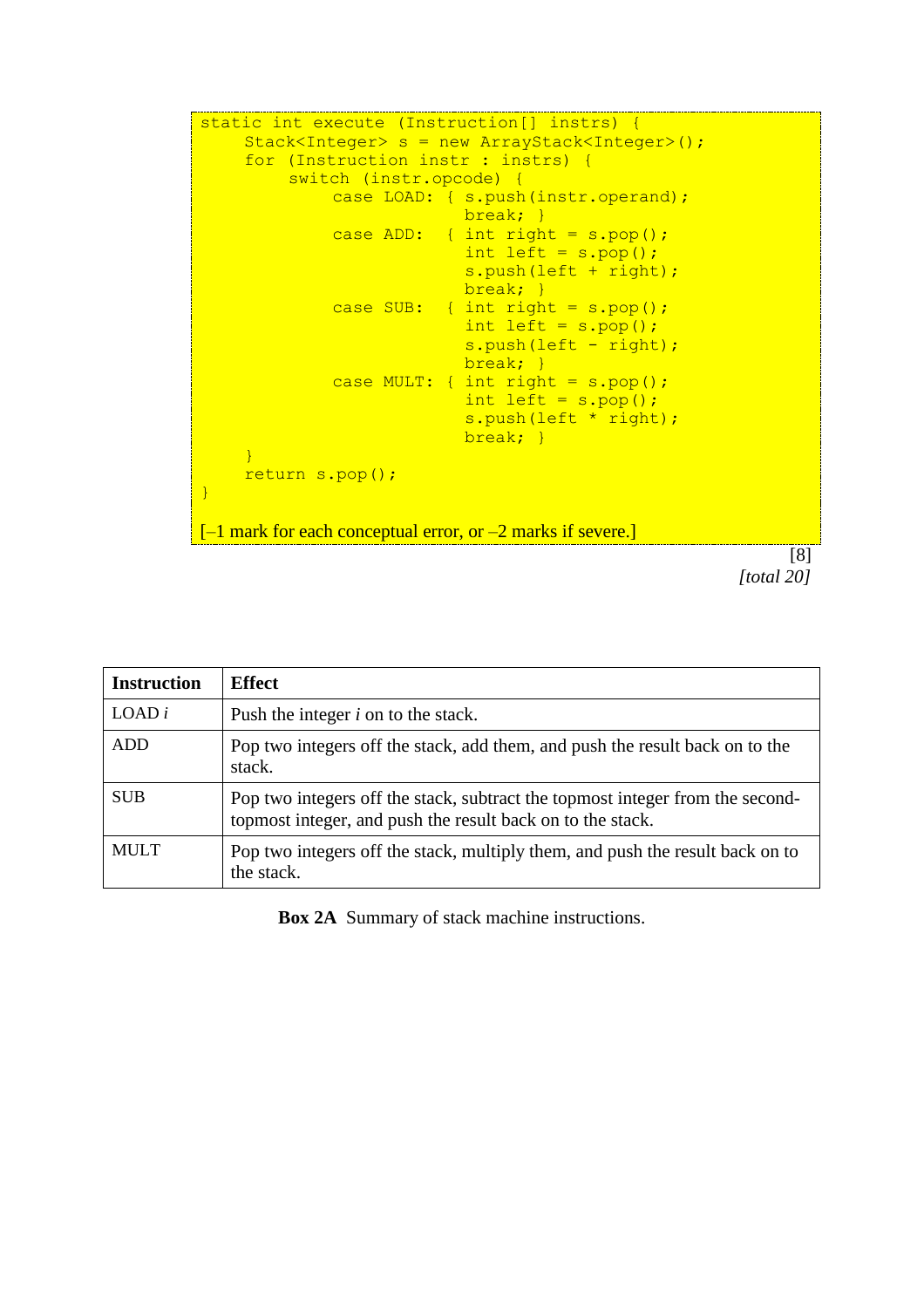```
static int execute (Instruction[] instrs) {
    Stack<Integer> s = new ArrayStack<Integer>();
    for (Instruction instr : instrs) {
         switch (instr.opcode) {
             case LOAD: { s.push(instr.operand);
                           break; }
              case ADD: { int right = s.pop();
                           int left = s.pop();
                           s.push(left + right);
                          break; }
             case SUB: { int right = s.pop();
                           int left = s.pop();
                           s.push(left - right);
                           break; }
             case MULT: { int right = s.pop();
                           int left = s.pop();
                           s.push(left * right);
                           break; }
    }
    return s.pop();
}
-1 mark for each conceptual error, or -2 marks if severe.]
```

```
[8]
[total 20]
```

| <b>Instruction</b> | <b>Effect</b>                                                                                                                               |
|--------------------|---------------------------------------------------------------------------------------------------------------------------------------------|
| $LOAD$ i           | Push the integer $i$ on to the stack.                                                                                                       |
| <b>ADD</b>         | Pop two integers off the stack, add them, and push the result back on to the<br>stack.                                                      |
| <b>SUB</b>         | Pop two integers off the stack, subtract the topmost integer from the second-<br>topmost integer, and push the result back on to the stack. |
| <b>MULT</b>        | Pop two integers off the stack, multiply them, and push the result back on to<br>the stack.                                                 |

**Box 2A** Summary of stack machine instructions.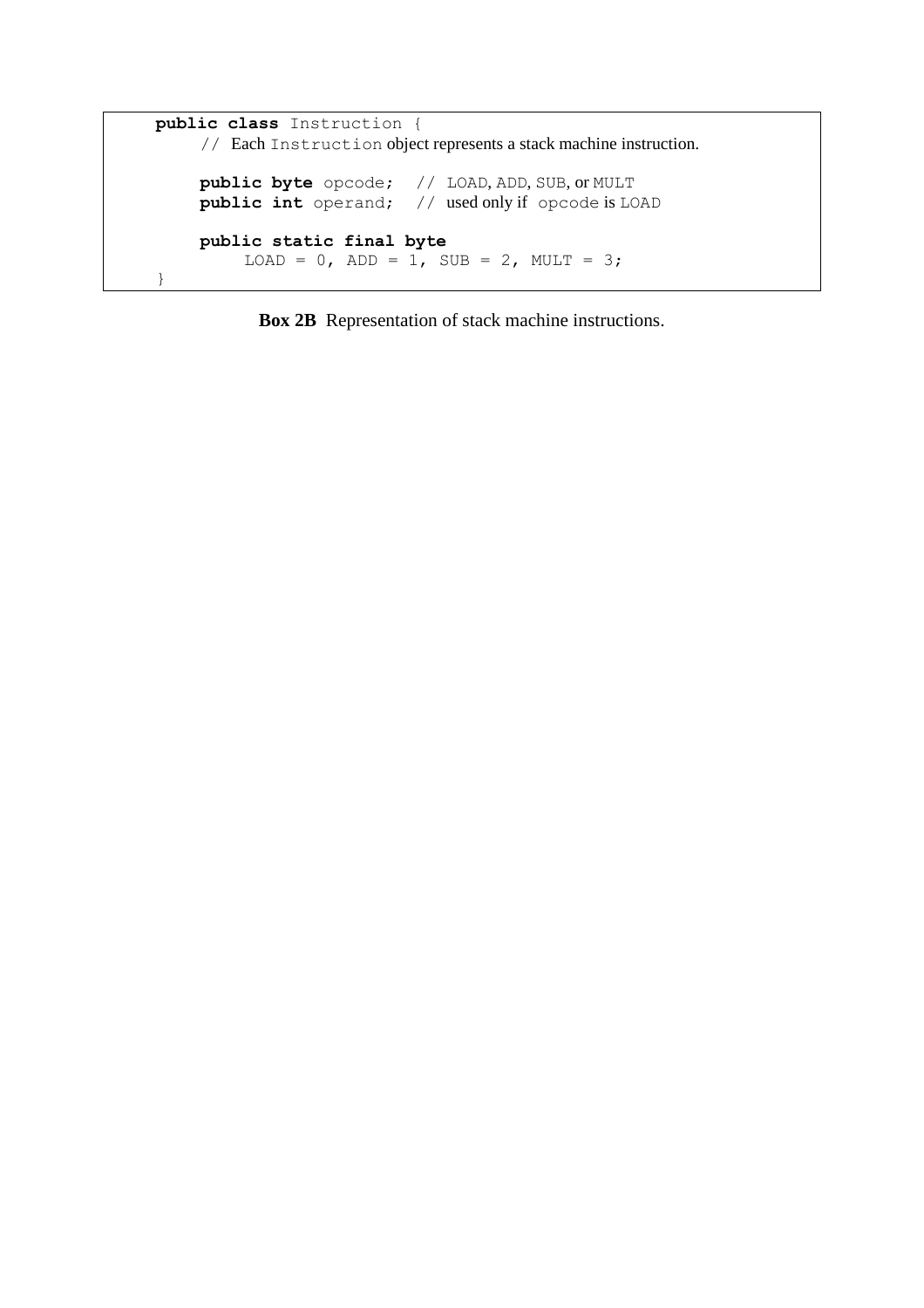```
public class Instruction {
     // Each Instruction object represents a stack machine instruction.
    public byte opcode; // LOAD, ADD, SUB, or MULT
    public int operand; // used only if opcode is LOAD
    public static final byte
         LOAD = 0, ADD = 1, SUB = 2, MULT = 3;
}
```
**Box 2B** Representation of stack machine instructions.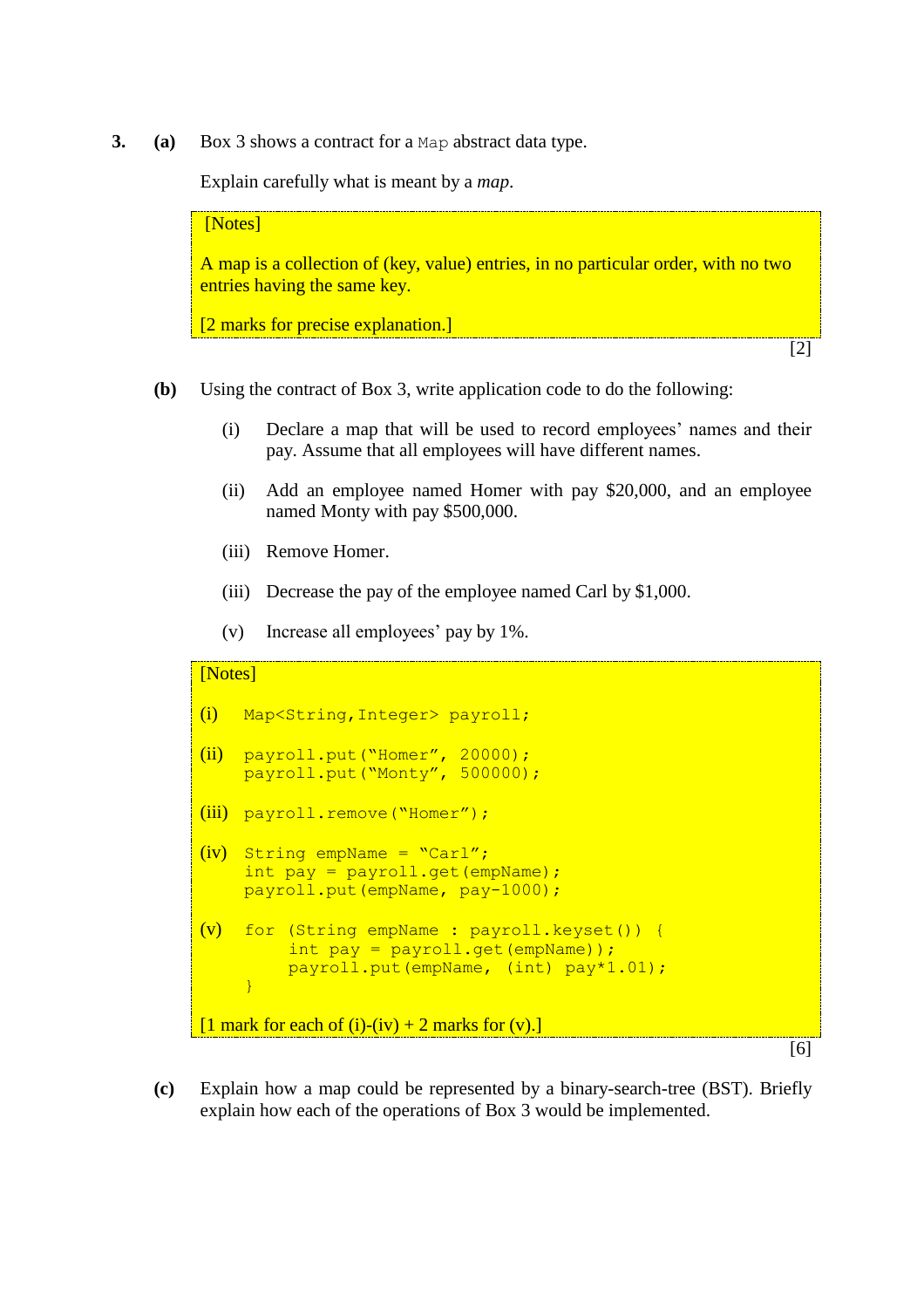**3. (a)** Box 3 shows a contract for a Map abstract data type.

Explain carefully what is meant by a *map*.

[Notes] A map is a collection of (key, value) entries, in no particular order, with no two entries having the same key. [2 marks for precise explanation.] [2]

- **(b)** Using the contract of Box 3, write application code to do the following:
	- (i) Declare a map that will be used to record employees' names and their pay. Assume that all employees will have different names.
	- (ii) Add an employee named Homer with pay \$20,000, and an employee named Monty with pay \$500,000.
	- (iii) Remove Homer.
	- (iii) Decrease the pay of the employee named Carl by \$1,000.
	- (v) Increase all employees' pay by 1%.

```
[Notes]
(i) Map<String,Integer> payroll;
(ii) payroll.put("Homer", 20000);
    payroll.put("Monty", 500000);
(iii) payroll.remove("Homer");
(iv) String empName = "Carl";
    int pay = payroll.get(empName);
    payroll.put(empName, pay-1000);
(v) for (String empName : payroll.keyset()) {
         int pay = payroll.get(empName));
         payroll.put(empName, (int) pay*1.01);
    }
[1 mark for each of (i)-(iv) + 2 marks for (v).]
```
[6]

**(c)** Explain how a map could be represented by a binary-search-tree (BST). Briefly explain how each of the operations of Box 3 would be implemented.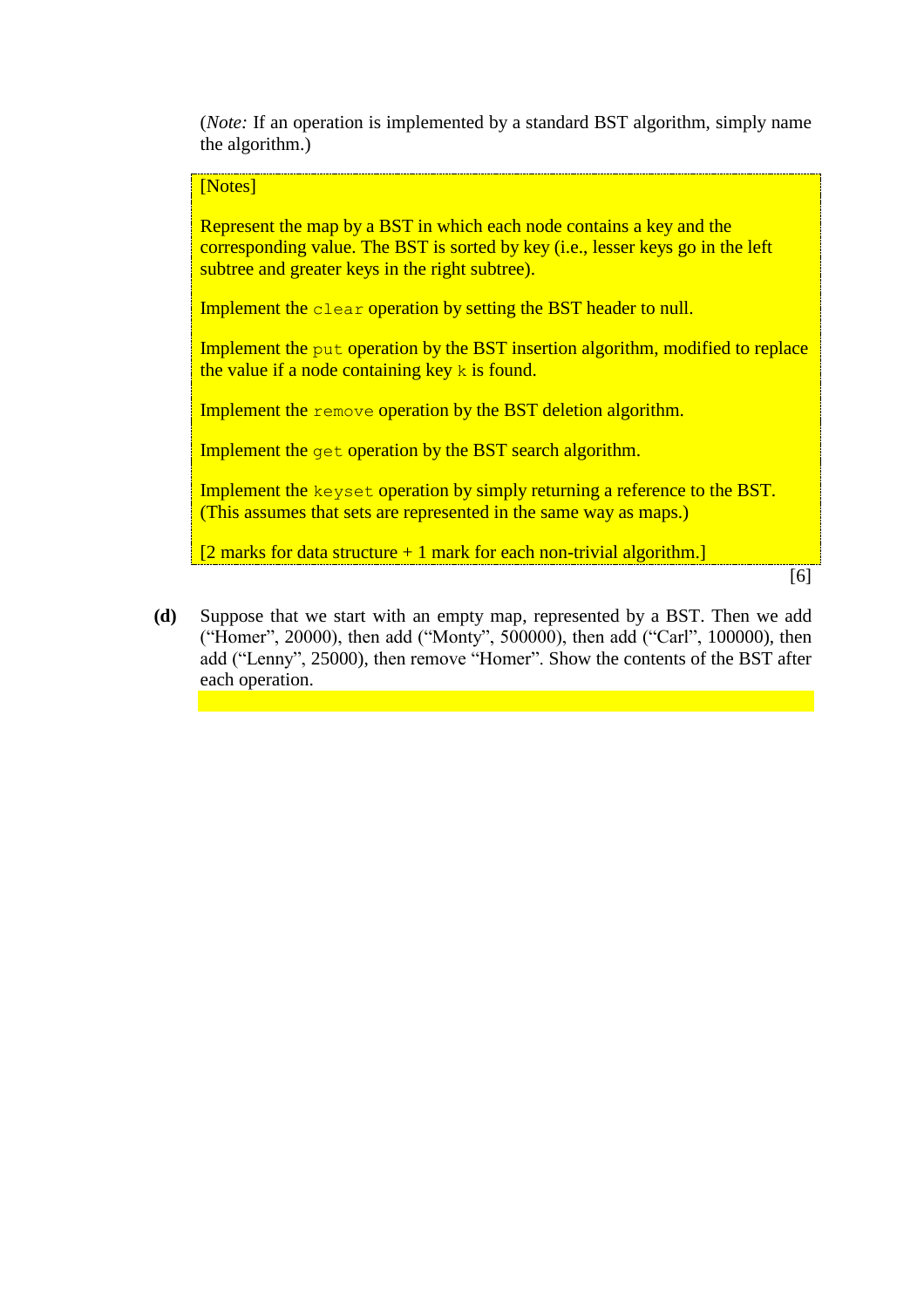(*Note:* If an operation is implemented by a standard BST algorithm, simply name the algorithm.)

#### [Notes]

Represent the map by a BST in which each node contains a key and the corresponding value. The BST is sorted by key (i.e., lesser keys go in the left subtree and greater keys in the right subtree).

Implement the clear operation by setting the BST header to null.

Implement the put operation by the BST insertion algorithm, modified to replace the value if a node containing key  $k$  is found.

Implement the remove operation by the BST deletion algorithm.

Implement the get operation by the BST search algorithm.

Implement the keyset operation by simply returning a reference to the BST. (This assumes that sets are represented in the same way as maps.)

 $[2$  marks for data structure + 1 mark for each non-trivial algorithm.]

[6]

**(d)** Suppose that we start with an empty map, represented by a BST. Then we add ("Homer", 20000), then add ("Monty", 500000), then add ("Carl", 100000), then add ("Lenny", 25000), then remove "Homer". Show the contents of the BST after each operation.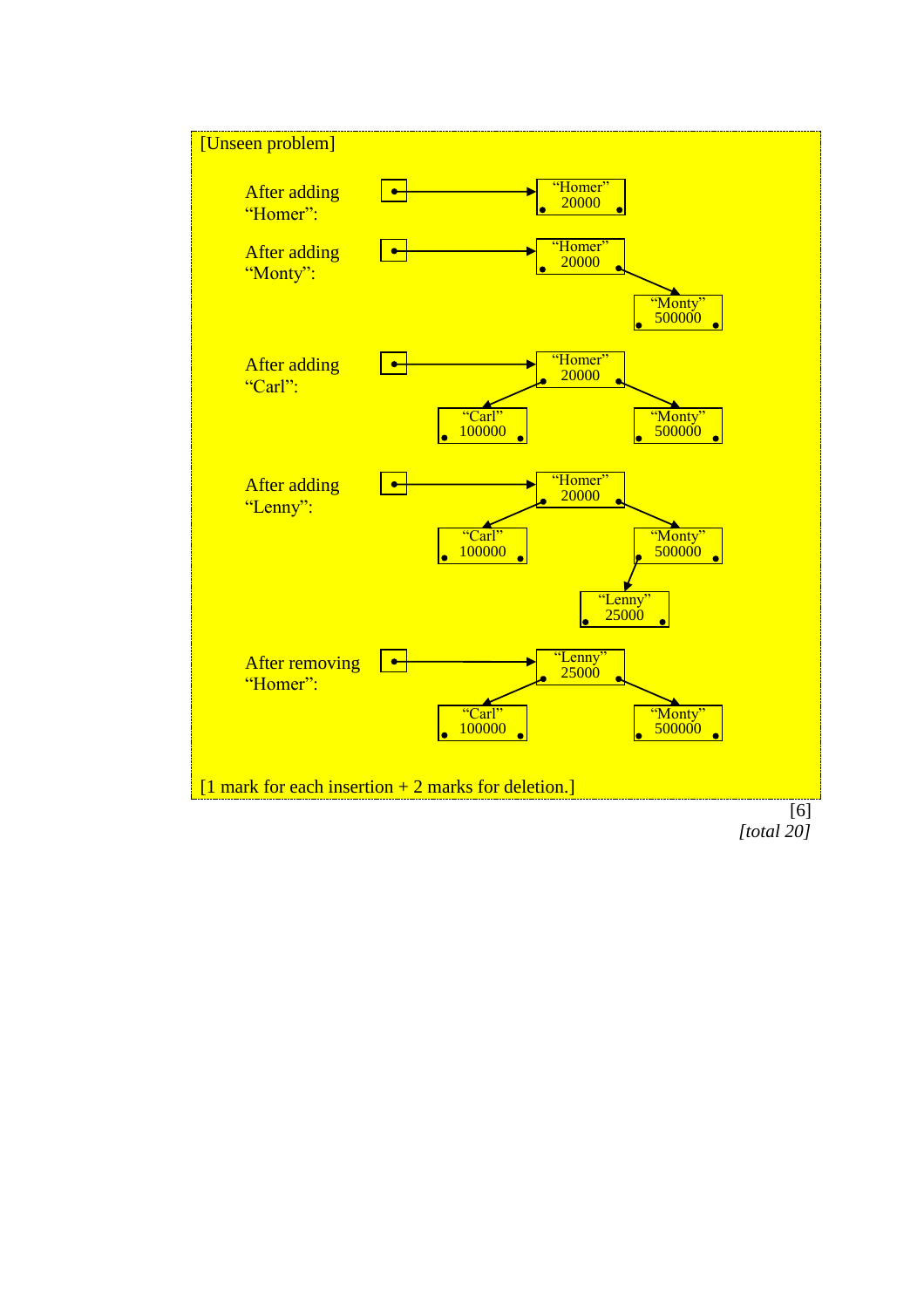

*[total 20]*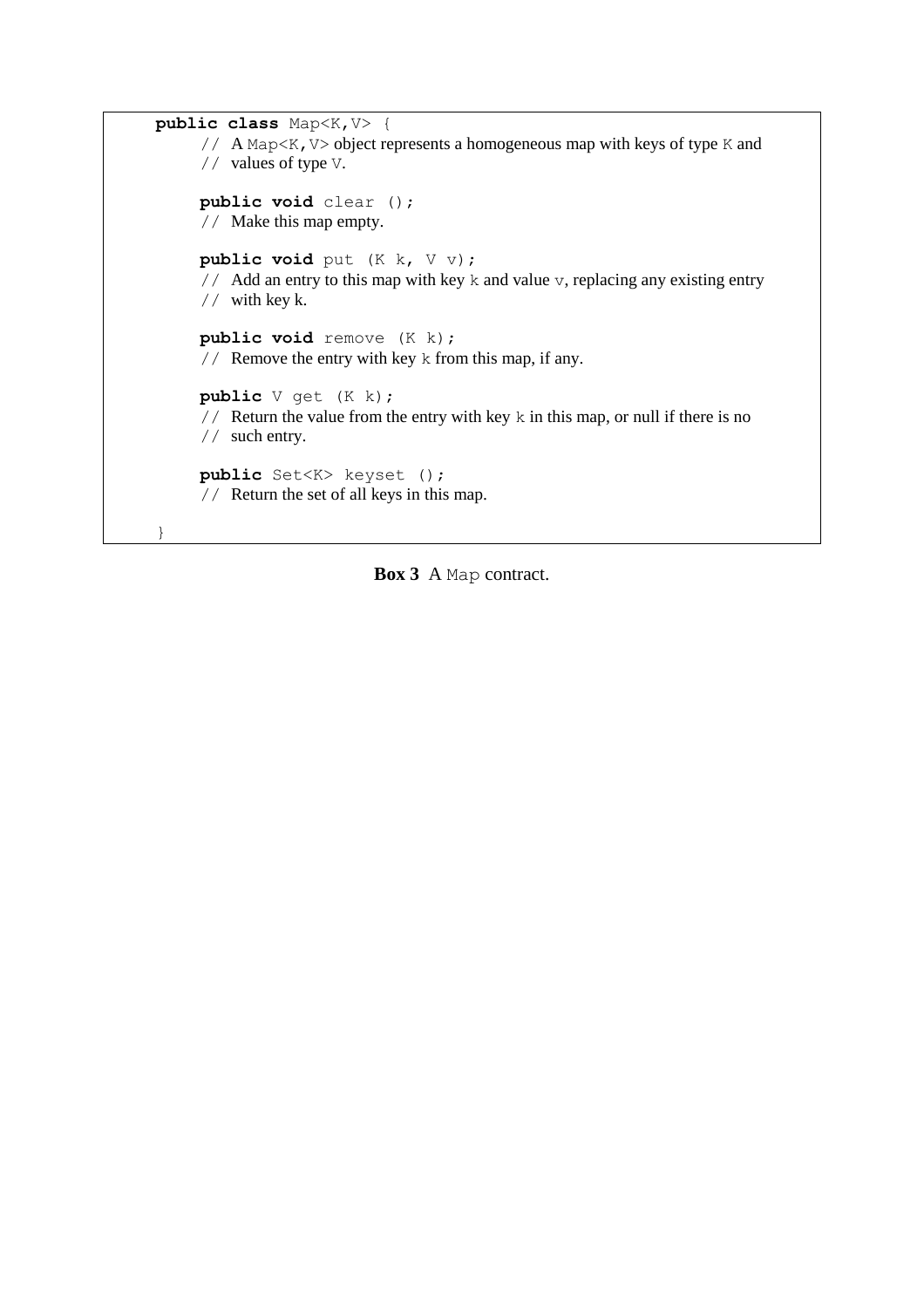```
public class Map<K,V> {
     // A Map<K,V> object represents a homogeneous map with keys of type K and 
     // values of type V.
     public void clear ();
     // Make this map empty.
     public void put (K k, V v);
     // Add an entry to this map with key k and value v, replacing any existing entry
     // with key k.
     public void remove (K k);
     // Remove the entry with key k from this map, if any.
     public V get (K k);
     // Return the value from the entry with key k in this map, or null if there is no 
     // such entry.
     public Set<K> keyset ();
     // Return the set of all keys in this map.
}
```
**Box 3** A Map contract.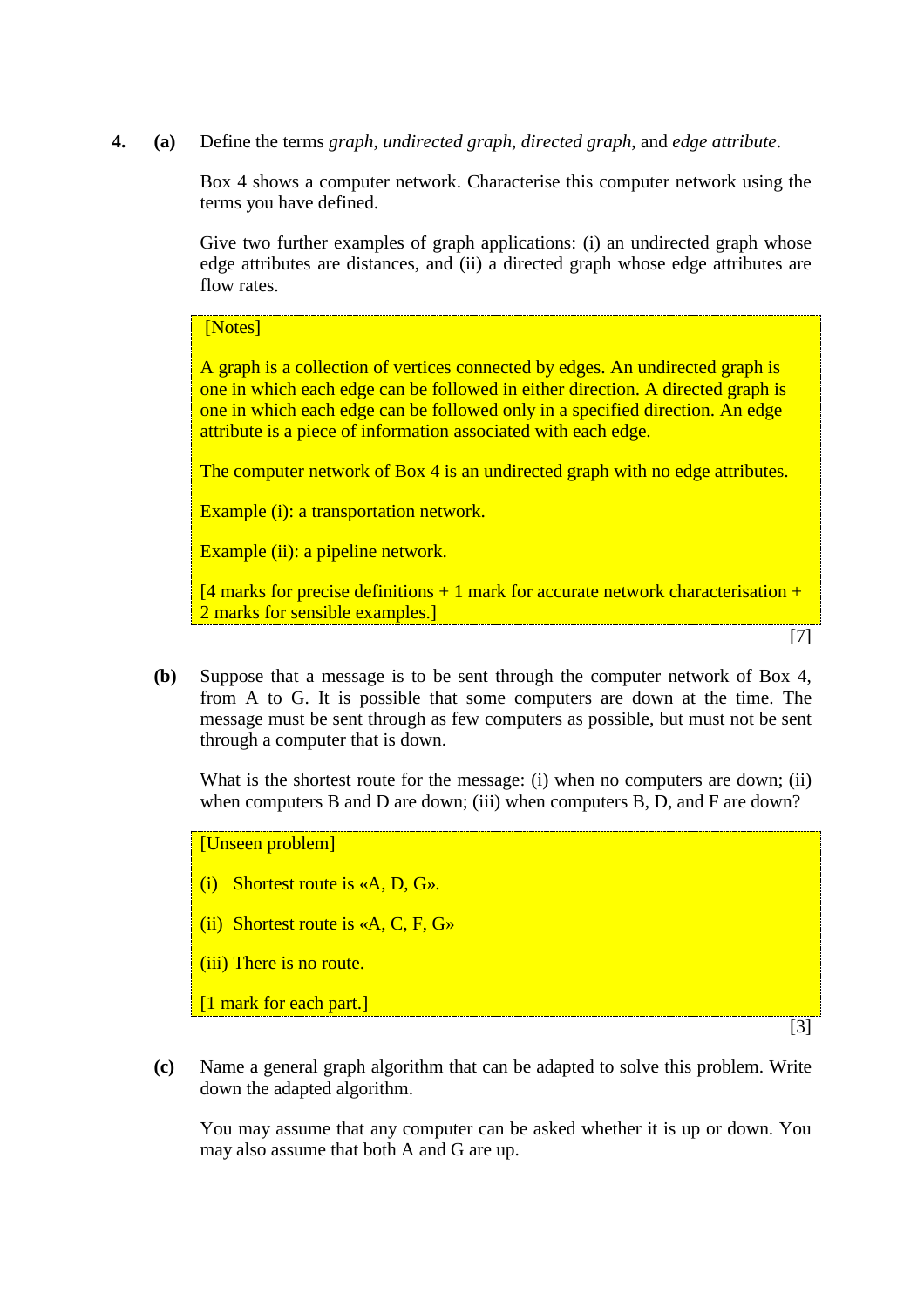**4. (a)** Define the terms *graph*, *undirected graph*, *directed graph*, and *edge attribute*.

Box 4 shows a computer network. Characterise this computer network using the terms you have defined.

Give two further examples of graph applications: (i) an undirected graph whose edge attributes are distances, and (ii) a directed graph whose edge attributes are flow rates.

# [Notes]

A graph is a collection of vertices connected by edges. An undirected graph is one in which each edge can be followed in either direction. A directed graph is one in which each edge can be followed only in a specified direction. An edge attribute is a piece of information associated with each edge.

The computer network of Box 4 is an undirected graph with no edge attributes.

Example (i): a transportation network.

Example (ii): a pipeline network.

 $[4$  marks for precise definitions + 1 mark for accurate network characterisation + 2 marks for sensible examples.]

[7]

**(b)** Suppose that a message is to be sent through the computer network of Box 4, from A to G. It is possible that some computers are down at the time. The message must be sent through as few computers as possible, but must not be sent through a computer that is down.

What is the shortest route for the message: (i) when no computers are down; (ii) when computers B and D are down; (iii) when computers B, D, and F are down?

[Unseen problem]

- (i) Shortest route is «A, D, G».
- (ii) Shortest route is  $\ll A$ , C, F, G $\gg$
- (iii) There is no route.

[1 mark for each part.]

[3]

**(c)** Name a general graph algorithm that can be adapted to solve this problem. Write down the adapted algorithm.

You may assume that any computer can be asked whether it is up or down. You may also assume that both A and G are up.